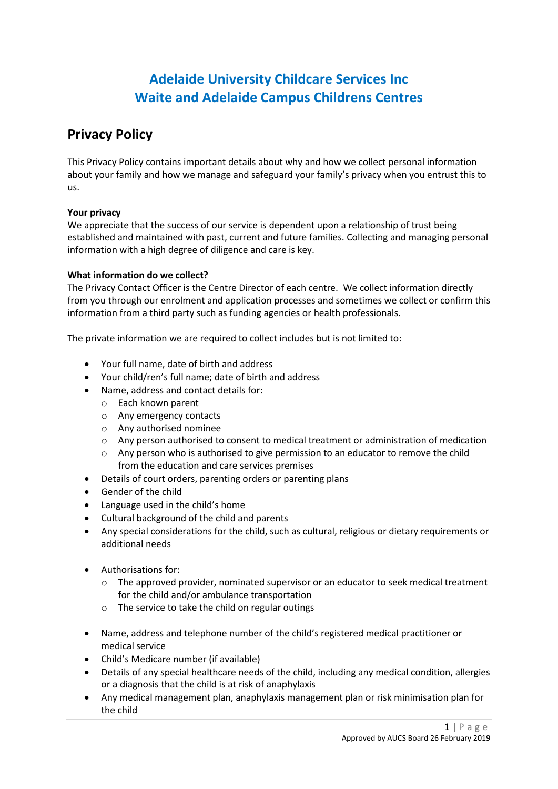# **Adelaide University Childcare Services Inc Waite and Adelaide Campus Childrens Centres**

## **Privacy Policy**

This Privacy Policy contains important details about why and how we collect personal information about your family and how we manage and safeguard your family's privacy when you entrust this to us.

## **Your privacy**

We appreciate that the success of our service is dependent upon a relationship of trust being established and maintained with past, current and future families. Collecting and managing personal information with a high degree of diligence and care is key.

## **What information do we collect?**

The Privacy Contact Officer is the Centre Director of each centre. We collect information directly from you through our enrolment and application processes and sometimes we collect or confirm this information from a third party such as funding agencies or health professionals.

The private information we are required to collect includes but is not limited to:

- Your full name, date of birth and address
- Your child/ren's full name; date of birth and address
- Name, address and contact details for:
	- o Each known parent
	- o Any emergency contacts
	- o Any authorised nominee
	- o Any person authorised to consent to medical treatment or administration of medication
	- $\circ$  Any person who is authorised to give permission to an educator to remove the child from the education and care services premises
- Details of court orders, parenting orders or parenting plans
- Gender of the child
- Language used in the child's home
- Cultural background of the child and parents
- Any special considerations for the child, such as cultural, religious or dietary requirements or additional needs
- Authorisations for:
	- $\circ$  The approved provider, nominated supervisor or an educator to seek medical treatment for the child and/or ambulance transportation
	- o The service to take the child on regular outings
- Name, address and telephone number of the child's registered medical practitioner or medical service
- Child's Medicare number (if available)
- Details of any special healthcare needs of the child, including any medical condition, allergies or a diagnosis that the child is at risk of anaphylaxis
- Any medical management plan, anaphylaxis management plan or risk minimisation plan for the child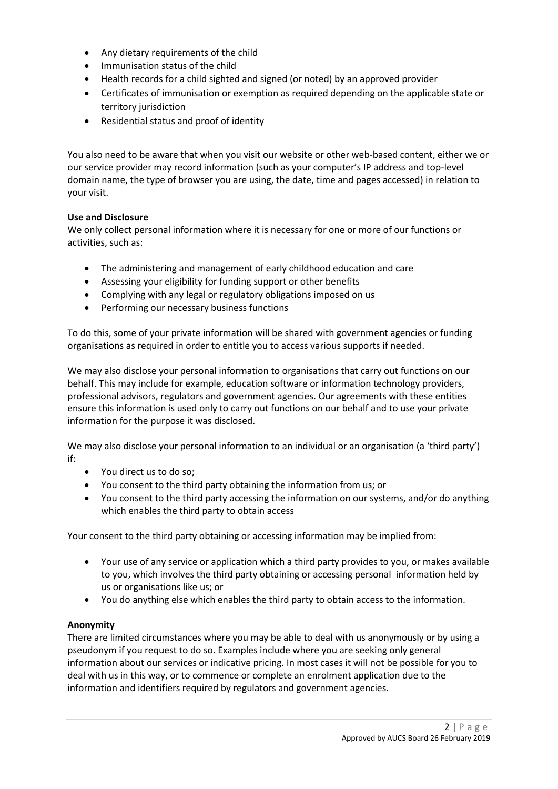- Any dietary requirements of the child
- Immunisation status of the child
- Health records for a child sighted and signed (or noted) by an approved provider
- Certificates of immunisation or exemption as required depending on the applicable state or territory jurisdiction
- Residential status and proof of identity

You also need to be aware that when you visit our website or other web-based content, either we or our service provider may record information (such as your computer's IP address and top-level domain name, the type of browser you are using, the date, time and pages accessed) in relation to your visit.

#### **Use and Disclosure**

We only collect personal information where it is necessary for one or more of our functions or activities, such as:

- The administering and management of early childhood education and care
- Assessing your eligibility for funding support or other benefits
- Complying with any legal or regulatory obligations imposed on us
- Performing our necessary business functions

To do this, some of your private information will be shared with government agencies or funding organisations as required in order to entitle you to access various supports if needed.

We may also disclose your personal information to organisations that carry out functions on our behalf. This may include for example, education software or information technology providers, professional advisors, regulators and government agencies. Our agreements with these entities ensure this information is used only to carry out functions on our behalf and to use your private information for the purpose it was disclosed.

We may also disclose your personal information to an individual or an organisation (a 'third party') if:

- You direct us to do so;
- You consent to the third party obtaining the information from us; or
- You consent to the third party accessing the information on our systems, and/or do anything which enables the third party to obtain access

Your consent to the third party obtaining or accessing information may be implied from:

- Your use of any service or application which a third party provides to you, or makes available to you, which involves the third party obtaining or accessing personal information held by us or organisations like us; or
- You do anything else which enables the third party to obtain access to the information.

#### **Anonymity**

There are limited circumstances where you may be able to deal with us anonymously or by using a pseudonym if you request to do so. Examples include where you are seeking only general information about our services or indicative pricing. In most cases it will not be possible for you to deal with us in this way, or to commence or complete an enrolment application due to the information and identifiers required by regulators and government agencies.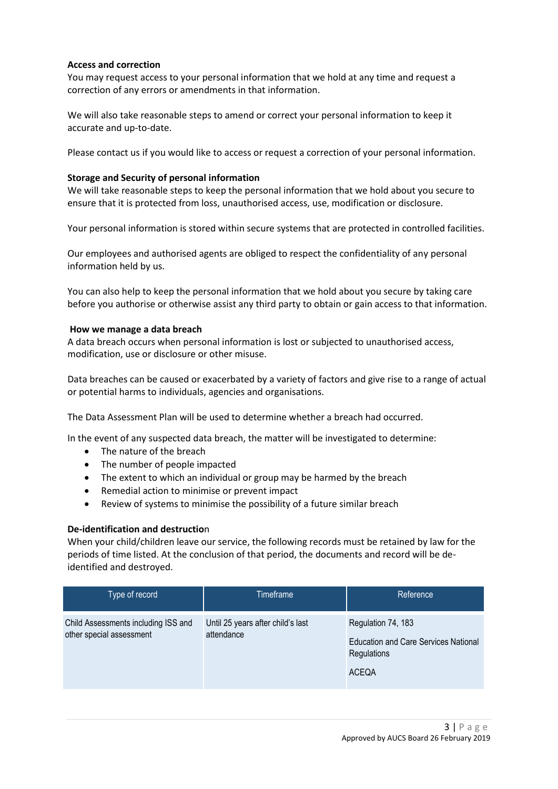#### **Access and correction**

You may request access to your personal information that we hold at any time and request a correction of any errors or amendments in that information.

We will also take reasonable steps to amend or correct your personal information to keep it accurate and up-to-date.

Please contact us if you would like to access or request a correction of your personal information.

#### **Storage and Security of personal information**

We will take reasonable steps to keep the personal information that we hold about you secure to ensure that it is protected from loss, unauthorised access, use, modification or disclosure.

Your personal information is stored within secure systems that are protected in controlled facilities.

Our employees and authorised agents are obliged to respect the confidentiality of any personal information held by us.

You can also help to keep the personal information that we hold about you secure by taking care before you authorise or otherwise assist any third party to obtain or gain access to that information.

#### **How we manage a data breach**

A data breach occurs when personal information is lost or subjected to unauthorised access, modification, use or disclosure or other misuse.

Data breaches can be caused or exacerbated by a variety of factors and give rise to a range of actual or potential harms to individuals, agencies and organisations.

The Data Assessment Plan will be used to determine whether a breach had occurred.

In the event of any suspected data breach, the matter will be investigated to determine:

- The nature of the breach
- The number of people impacted
- The extent to which an individual or group may be harmed by the breach
- Remedial action to minimise or prevent impact
- Review of systems to minimise the possibility of a future similar breach

#### **De-identification and destructio**n

When your child/children leave our service, the following records must be retained by law for the periods of time listed. At the conclusion of that period, the documents and record will be deidentified and destroyed.

| Type of record                                                  | Timeframe                                       | Reference                                                                                        |
|-----------------------------------------------------------------|-------------------------------------------------|--------------------------------------------------------------------------------------------------|
| Child Assessments including ISS and<br>other special assessment | Until 25 years after child's last<br>attendance | Regulation 74, 183<br><b>Education and Care Services National</b><br>Regulations<br><b>ACEQA</b> |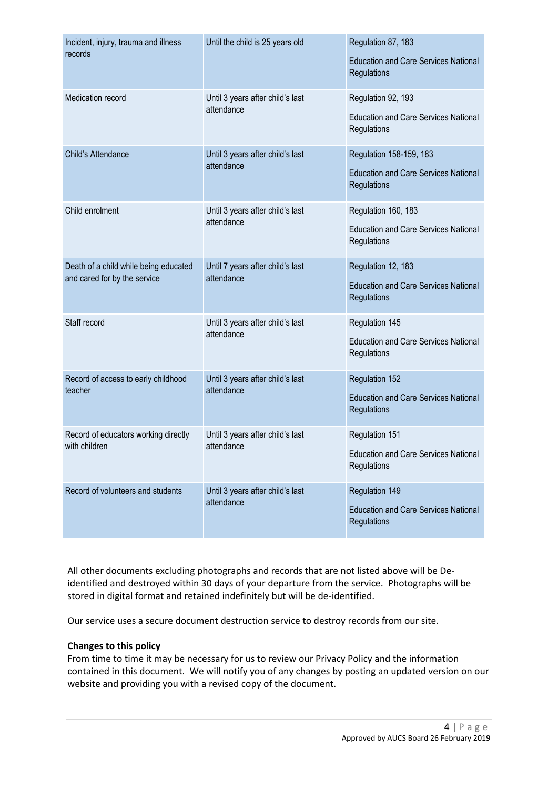| Incident, injury, trauma and illness<br>records                       | Until the child is 25 years old                | Regulation 87, 183<br><b>Education and Care Services National</b><br>Regulations      |
|-----------------------------------------------------------------------|------------------------------------------------|---------------------------------------------------------------------------------------|
| Medication record                                                     | Until 3 years after child's last<br>attendance | Regulation 92, 193<br><b>Education and Care Services National</b><br>Regulations      |
| Child's Attendance                                                    | Until 3 years after child's last<br>attendance | Regulation 158-159, 183<br><b>Education and Care Services National</b><br>Regulations |
| Child enrolment                                                       | Until 3 years after child's last<br>attendance | Regulation 160, 183<br><b>Education and Care Services National</b><br>Regulations     |
| Death of a child while being educated<br>and cared for by the service | Until 7 years after child's last<br>attendance | Regulation 12, 183<br><b>Education and Care Services National</b><br>Regulations      |
| Staff record                                                          | Until 3 years after child's last<br>attendance | Regulation 145<br><b>Education and Care Services National</b><br>Regulations          |
| Record of access to early childhood<br>teacher                        | Until 3 years after child's last<br>attendance | <b>Regulation 152</b><br><b>Education and Care Services National</b><br>Regulations   |
| Record of educators working directly<br>with children                 | Until 3 years after child's last<br>attendance | Regulation 151<br><b>Education and Care Services National</b><br>Regulations          |
| Record of volunteers and students                                     | Until 3 years after child's last<br>attendance | Regulation 149<br><b>Education and Care Services National</b><br>Regulations          |

All other documents excluding photographs and records that are not listed above will be Deidentified and destroyed within 30 days of your departure from the service. Photographs will be stored in digital format and retained indefinitely but will be de-identified.

Our service uses a secure document destruction service to destroy records from our site.

### **Changes to this policy**

From time to time it may be necessary for us to review our Privacy Policy and the information contained in this document. We will notify you of any changes by posting an updated version on our website and providing you with a revised copy of the document.